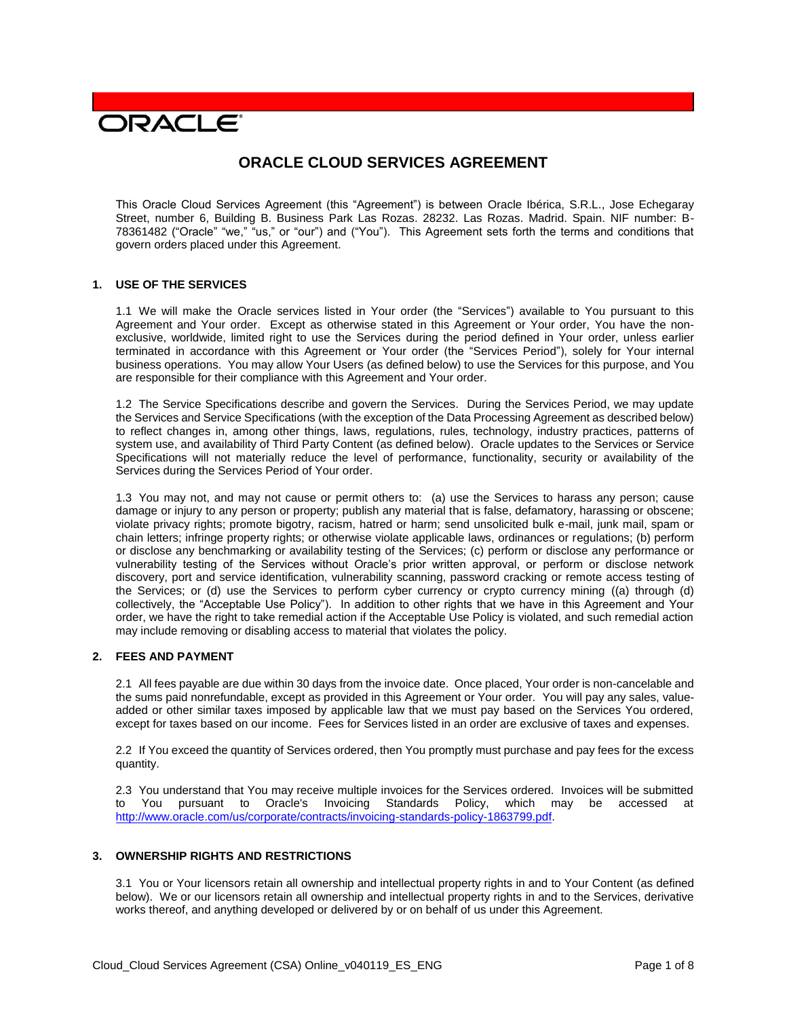# **DRACLE**

# **ORACLE CLOUD SERVICES AGREEMENT**

This Oracle Cloud Services Agreement (this "Agreement") is between Oracle Ibérica, S.R.L., Jose Echegaray Street, number 6, Building B. Business Park Las Rozas. 28232. Las Rozas. Madrid. Spain. NIF number: B-78361482 ("Oracle" "we," "us," or "our") and ("You"). This Agreement sets forth the terms and conditions that govern orders placed under this Agreement.

## **1. USE OF THE SERVICES**

1.1 We will make the Oracle services listed in Your order (the "Services") available to You pursuant to this Agreement and Your order. Except as otherwise stated in this Agreement or Your order, You have the nonexclusive, worldwide, limited right to use the Services during the period defined in Your order, unless earlier terminated in accordance with this Agreement or Your order (the "Services Period"), solely for Your internal business operations. You may allow Your Users (as defined below) to use the Services for this purpose, and You are responsible for their compliance with this Agreement and Your order.

1.2 The Service Specifications describe and govern the Services. During the Services Period, we may update the Services and Service Specifications (with the exception of the Data Processing Agreement as described below) to reflect changes in, among other things, laws, regulations, rules, technology, industry practices, patterns of system use, and availability of Third Party Content (as defined below). Oracle updates to the Services or Service Specifications will not materially reduce the level of performance, functionality, security or availability of the Services during the Services Period of Your order.

1.3 You may not, and may not cause or permit others to: (a) use the Services to harass any person; cause damage or injury to any person or property; publish any material that is false, defamatory, harassing or obscene; violate privacy rights; promote bigotry, racism, hatred or harm; send unsolicited bulk e-mail, junk mail, spam or chain letters; infringe property rights; or otherwise violate applicable laws, ordinances or regulations; (b) perform or disclose any benchmarking or availability testing of the Services; (c) perform or disclose any performance or vulnerability testing of the Services without Oracle's prior written approval, or perform or disclose network discovery, port and service identification, vulnerability scanning, password cracking or remote access testing of the Services; or (d) use the Services to perform cyber currency or crypto currency mining ((a) through (d) collectively, the "Acceptable Use Policy"). In addition to other rights that we have in this Agreement and Your order, we have the right to take remedial action if the Acceptable Use Policy is violated, and such remedial action may include removing or disabling access to material that violates the policy.

#### **2. FEES AND PAYMENT**

2.1 All fees payable are due within 30 days from the invoice date. Once placed, Your order is non-cancelable and the sums paid nonrefundable, except as provided in this Agreement or Your order. You will pay any sales, valueadded or other similar taxes imposed by applicable law that we must pay based on the Services You ordered, except for taxes based on our income. Fees for Services listed in an order are exclusive of taxes and expenses.

2.2 If You exceed the quantity of Services ordered, then You promptly must purchase and pay fees for the excess quantity.

2.3 You understand that You may receive multiple invoices for the Services ordered. Invoices will be submitted to You pursuant to Oracle's Invoicing Standards Policy, which may be accessed at [http://www.oracle.com/us/corporate/contracts/invoicing-standards-policy-1863799.pdf.](http://www.oracle.com/us/corporate/contracts/invoicing-standards-policy-1863799.pdf)

#### **3. OWNERSHIP RIGHTS AND RESTRICTIONS**

3.1 You or Your licensors retain all ownership and intellectual property rights in and to Your Content (as defined below). We or our licensors retain all ownership and intellectual property rights in and to the Services, derivative works thereof, and anything developed or delivered by or on behalf of us under this Agreement.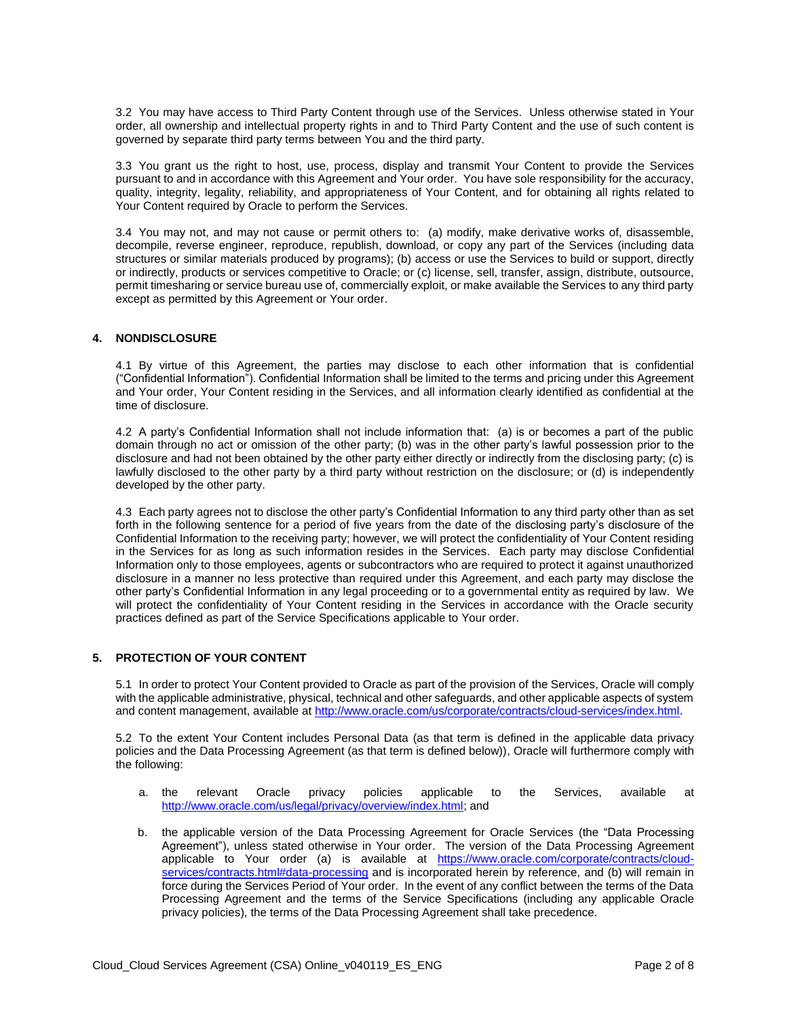3.2 You may have access to Third Party Content through use of the Services. Unless otherwise stated in Your order, all ownership and intellectual property rights in and to Third Party Content and the use of such content is governed by separate third party terms between You and the third party.

3.3 You grant us the right to host, use, process, display and transmit Your Content to provide the Services pursuant to and in accordance with this Agreement and Your order. You have sole responsibility for the accuracy, quality, integrity, legality, reliability, and appropriateness of Your Content, and for obtaining all rights related to Your Content required by Oracle to perform the Services.

3.4 You may not, and may not cause or permit others to: (a) modify, make derivative works of, disassemble, decompile, reverse engineer, reproduce, republish, download, or copy any part of the Services (including data structures or similar materials produced by programs); (b) access or use the Services to build or support, directly or indirectly, products or services competitive to Oracle; or (c) license, sell, transfer, assign, distribute, outsource, permit timesharing or service bureau use of, commercially exploit, or make available the Services to any third party except as permitted by this Agreement or Your order.

#### **4. NONDISCLOSURE**

4.1 By virtue of this Agreement, the parties may disclose to each other information that is confidential ("Confidential Information"). Confidential Information shall be limited to the terms and pricing under this Agreement and Your order, Your Content residing in the Services, and all information clearly identified as confidential at the time of disclosure.

4.2 A party's Confidential Information shall not include information that: (a) is or becomes a part of the public domain through no act or omission of the other party; (b) was in the other party's lawful possession prior to the disclosure and had not been obtained by the other party either directly or indirectly from the disclosing party; (c) is lawfully disclosed to the other party by a third party without restriction on the disclosure; or (d) is independently developed by the other party.

4.3 Each party agrees not to disclose the other party's Confidential Information to any third party other than as set forth in the following sentence for a period of five years from the date of the disclosing party's disclosure of the Confidential Information to the receiving party; however, we will protect the confidentiality of Your Content residing in the Services for as long as such information resides in the Services. Each party may disclose Confidential Information only to those employees, agents or subcontractors who are required to protect it against unauthorized disclosure in a manner no less protective than required under this Agreement, and each party may disclose the other party's Confidential Information in any legal proceeding or to a governmental entity as required by law. We will protect the confidentiality of Your Content residing in the Services in accordance with the Oracle security practices defined as part of the Service Specifications applicable to Your order.

# **5. PROTECTION OF YOUR CONTENT**

5.1 In order to protect Your Content provided to Oracle as part of the provision of the Services, Oracle will comply with the applicable administrative, physical, technical and other safeguards, and other applicable aspects of system and content management, available at [http://www.oracle.com/us/corporate/contracts/cloud-services/index.html.](http://www.oracle.com/us/corporate/contracts/cloud-services/index.html)

5.2 To the extent Your Content includes Personal Data (as that term is defined in the applicable data privacy policies and the Data Processing Agreement (as that term is defined below)), Oracle will furthermore comply with the following:

- a. the relevant Oracle privacy policies applicable to the Services, available at [http://www.oracle.com/us/legal/privacy/overview/index.html;](http://www.oracle.com/us/legal/privacy/overview/index.html) and
- b. the applicable version of the Data Processing Agreement for Oracle Services (the "Data Processing Agreement"), unless stated otherwise in Your order. The version of the Data Processing Agreement applicable to Your order (a) is available at [https://www.oracle.com/corporate/contracts/cloud](https://www.oracle.com/corporate/contracts/cloud-services/contracts.html#data-processing)[services/contracts.html#data-processing](https://www.oracle.com/corporate/contracts/cloud-services/contracts.html#data-processing) and is incorporated herein by reference, and (b) will remain in force during the Services Period of Your order. In the event of any conflict between the terms of the Data Processing Agreement and the terms of the Service Specifications (including any applicable Oracle privacy policies), the terms of the Data Processing Agreement shall take precedence.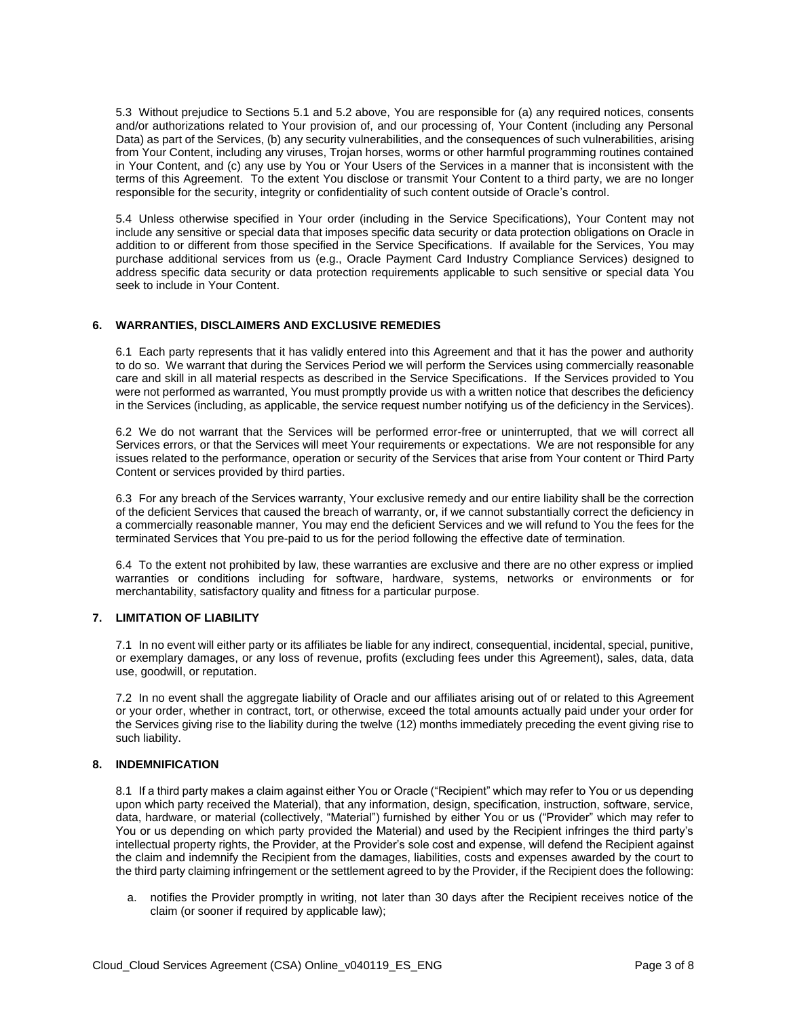5.3 Without prejudice to Sections 5.1 and 5.2 above, You are responsible for (a) any required notices, consents and/or authorizations related to Your provision of, and our processing of, Your Content (including any Personal Data) as part of the Services, (b) any security vulnerabilities, and the consequences of such vulnerabilities, arising from Your Content, including any viruses, Trojan horses, worms or other harmful programming routines contained in Your Content, and (c) any use by You or Your Users of the Services in a manner that is inconsistent with the terms of this Agreement. To the extent You disclose or transmit Your Content to a third party, we are no longer responsible for the security, integrity or confidentiality of such content outside of Oracle's control.

5.4 Unless otherwise specified in Your order (including in the Service Specifications), Your Content may not include any sensitive or special data that imposes specific data security or data protection obligations on Oracle in addition to or different from those specified in the Service Specifications. If available for the Services, You may purchase additional services from us (e.g., Oracle Payment Card Industry Compliance Services) designed to address specific data security or data protection requirements applicable to such sensitive or special data You seek to include in Your Content.

#### **6. WARRANTIES, DISCLAIMERS AND EXCLUSIVE REMEDIES**

6.1 Each party represents that it has validly entered into this Agreement and that it has the power and authority to do so. We warrant that during the Services Period we will perform the Services using commercially reasonable care and skill in all material respects as described in the Service Specifications. If the Services provided to You were not performed as warranted, You must promptly provide us with a written notice that describes the deficiency in the Services (including, as applicable, the service request number notifying us of the deficiency in the Services).

6.2 We do not warrant that the Services will be performed error-free or uninterrupted, that we will correct all Services errors, or that the Services will meet Your requirements or expectations. We are not responsible for any issues related to the performance, operation or security of the Services that arise from Your content or Third Party Content or services provided by third parties.

6.3 For any breach of the Services warranty, Your exclusive remedy and our entire liability shall be the correction of the deficient Services that caused the breach of warranty, or, if we cannot substantially correct the deficiency in a commercially reasonable manner, You may end the deficient Services and we will refund to You the fees for the terminated Services that You pre-paid to us for the period following the effective date of termination.

6.4 To the extent not prohibited by law, these warranties are exclusive and there are no other express or implied warranties or conditions including for software, hardware, systems, networks or environments or for merchantability, satisfactory quality and fitness for a particular purpose.

#### **7. LIMITATION OF LIABILITY**

7.1 In no event will either party or its affiliates be liable for any indirect, consequential, incidental, special, punitive, or exemplary damages, or any loss of revenue, profits (excluding fees under this Agreement), sales, data, data use, goodwill, or reputation.

7.2 In no event shall the aggregate liability of Oracle and our affiliates arising out of or related to this Agreement or your order, whether in contract, tort, or otherwise, exceed the total amounts actually paid under your order for the Services giving rise to the liability during the twelve (12) months immediately preceding the event giving rise to such liability.

### **8. INDEMNIFICATION**

8.1 If a third party makes a claim against either You or Oracle ("Recipient" which may refer to You or us depending upon which party received the Material), that any information, design, specification, instruction, software, service, data, hardware, or material (collectively, "Material") furnished by either You or us ("Provider" which may refer to You or us depending on which party provided the Material) and used by the Recipient infringes the third party's intellectual property rights, the Provider, at the Provider's sole cost and expense, will defend the Recipient against the claim and indemnify the Recipient from the damages, liabilities, costs and expenses awarded by the court to the third party claiming infringement or the settlement agreed to by the Provider, if the Recipient does the following:

a. notifies the Provider promptly in writing, not later than 30 days after the Recipient receives notice of the claim (or sooner if required by applicable law);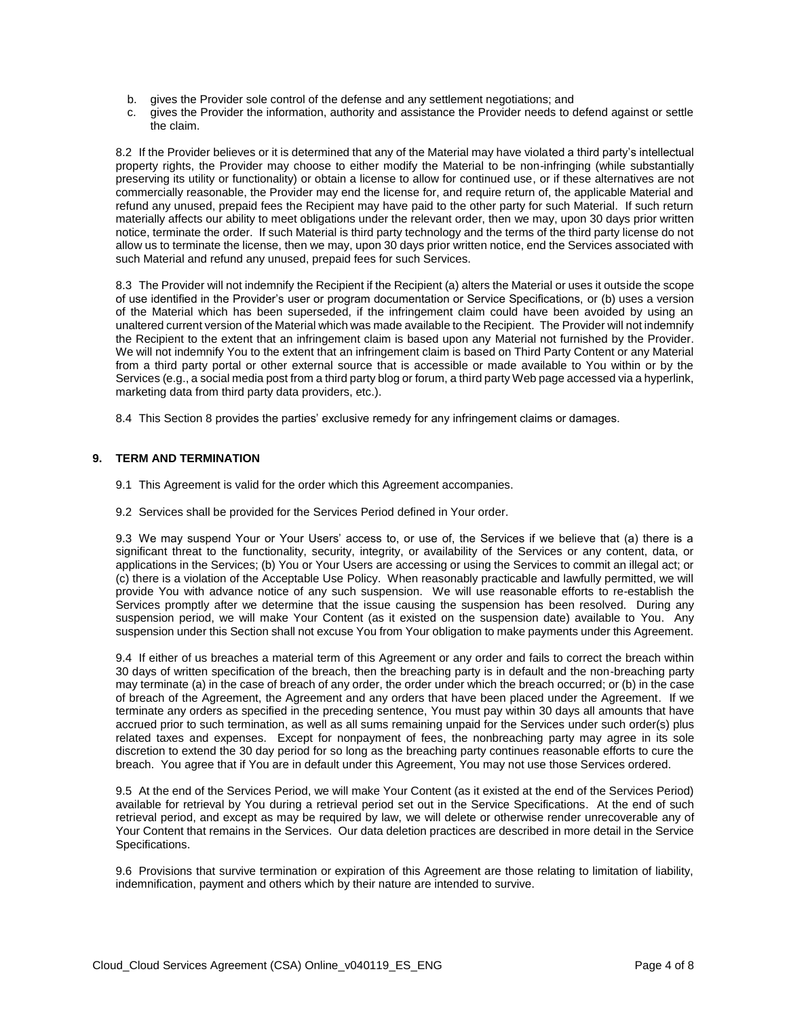- b. gives the Provider sole control of the defense and any settlement negotiations; and
- c. gives the Provider the information, authority and assistance the Provider needs to defend against or settle the claim.

8.2 If the Provider believes or it is determined that any of the Material may have violated a third party's intellectual property rights, the Provider may choose to either modify the Material to be non-infringing (while substantially preserving its utility or functionality) or obtain a license to allow for continued use, or if these alternatives are not commercially reasonable, the Provider may end the license for, and require return of, the applicable Material and refund any unused, prepaid fees the Recipient may have paid to the other party for such Material. If such return materially affects our ability to meet obligations under the relevant order, then we may, upon 30 days prior written notice, terminate the order. If such Material is third party technology and the terms of the third party license do not allow us to terminate the license, then we may, upon 30 days prior written notice, end the Services associated with such Material and refund any unused, prepaid fees for such Services.

8.3 The Provider will not indemnify the Recipient if the Recipient (a) alters the Material or uses it outside the scope of use identified in the Provider's user or program documentation or Service Specifications, or (b) uses a version of the Material which has been superseded, if the infringement claim could have been avoided by using an unaltered current version of the Material which was made available to the Recipient. The Provider will not indemnify the Recipient to the extent that an infringement claim is based upon any Material not furnished by the Provider. We will not indemnify You to the extent that an infringement claim is based on Third Party Content or any Material from a third party portal or other external source that is accessible or made available to You within or by the Services (e.g., a social media post from a third party blog or forum, a third party Web page accessed via a hyperlink, marketing data from third party data providers, etc.).

8.4 This Section 8 provides the parties' exclusive remedy for any infringement claims or damages.

#### **9. TERM AND TERMINATION**

- 9.1 This Agreement is valid for the order which this Agreement accompanies.
- 9.2 Services shall be provided for the Services Period defined in Your order.

9.3 We may suspend Your or Your Users' access to, or use of, the Services if we believe that (a) there is a significant threat to the functionality, security, integrity, or availability of the Services or any content, data, or applications in the Services; (b) You or Your Users are accessing or using the Services to commit an illegal act; or (c) there is a violation of the Acceptable Use Policy. When reasonably practicable and lawfully permitted, we will provide You with advance notice of any such suspension. We will use reasonable efforts to re-establish the Services promptly after we determine that the issue causing the suspension has been resolved. During any suspension period, we will make Your Content (as it existed on the suspension date) available to You. Any suspension under this Section shall not excuse You from Your obligation to make payments under this Agreement.

9.4 If either of us breaches a material term of this Agreement or any order and fails to correct the breach within 30 days of written specification of the breach, then the breaching party is in default and the non-breaching party may terminate (a) in the case of breach of any order, the order under which the breach occurred; or (b) in the case of breach of the Agreement, the Agreement and any orders that have been placed under the Agreement. If we terminate any orders as specified in the preceding sentence, You must pay within 30 days all amounts that have accrued prior to such termination, as well as all sums remaining unpaid for the Services under such order(s) plus related taxes and expenses. Except for nonpayment of fees, the nonbreaching party may agree in its sole discretion to extend the 30 day period for so long as the breaching party continues reasonable efforts to cure the breach. You agree that if You are in default under this Agreement, You may not use those Services ordered.

9.5 At the end of the Services Period, we will make Your Content (as it existed at the end of the Services Period) available for retrieval by You during a retrieval period set out in the Service Specifications. At the end of such retrieval period, and except as may be required by law, we will delete or otherwise render unrecoverable any of Your Content that remains in the Services. Our data deletion practices are described in more detail in the Service Specifications.

9.6 Provisions that survive termination or expiration of this Agreement are those relating to limitation of liability, indemnification, payment and others which by their nature are intended to survive.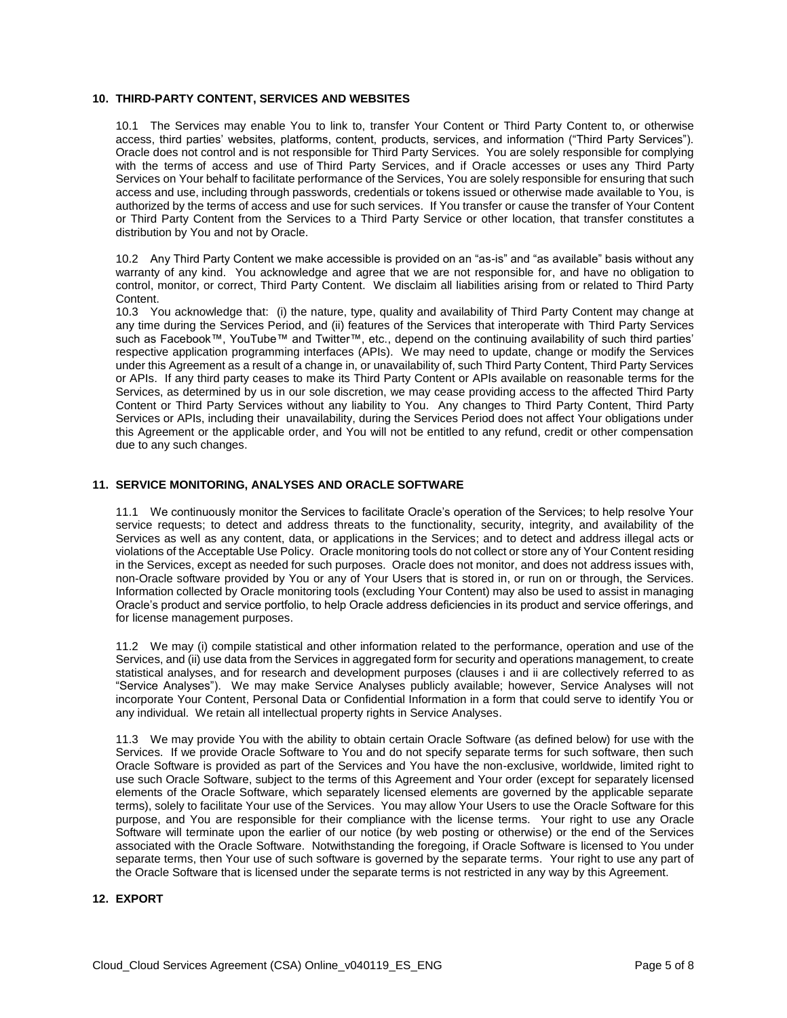#### **10. THIRD-PARTY CONTENT, SERVICES AND WEBSITES**

10.1 The Services may enable You to link to, transfer Your Content or Third Party Content to, or otherwise access, third parties' websites, platforms, content, products, services, and information ("Third Party Services"). Oracle does not control and is not responsible for Third Party Services. You are solely responsible for complying with the terms of access and use of Third Party Services, and if Oracle accesses or uses any Third Party Services on Your behalf to facilitate performance of the Services, You are solely responsible for ensuring that such access and use, including through passwords, credentials or tokens issued or otherwise made available to You, is authorized by the terms of access and use for such services. If You transfer or cause the transfer of Your Content or Third Party Content from the Services to a Third Party Service or other location, that transfer constitutes a distribution by You and not by Oracle.

10.2 Any Third Party Content we make accessible is provided on an "as-is" and "as available" basis without any warranty of any kind. You acknowledge and agree that we are not responsible for, and have no obligation to control, monitor, or correct, Third Party Content. We disclaim all liabilities arising from or related to Third Party Content.

10.3 You acknowledge that: (i) the nature, type, quality and availability of Third Party Content may change at any time during the Services Period, and (ii) features of the Services that interoperate with Third Party Services such as Facebook™, YouTube™ and Twitter™, etc., depend on the continuing availability of such third parties' respective application programming interfaces (APIs). We may need to update, change or modify the Services under this Agreement as a result of a change in, or unavailability of, such Third Party Content, Third Party Services or APIs. If any third party ceases to make its Third Party Content or APIs available on reasonable terms for the Services, as determined by us in our sole discretion, we may cease providing access to the affected Third Party Content or Third Party Services without any liability to You. Any changes to Third Party Content, Third Party Services or APIs, including their unavailability, during the Services Period does not affect Your obligations under this Agreement or the applicable order, and You will not be entitled to any refund, credit or other compensation due to any such changes.

#### **11. SERVICE MONITORING, ANALYSES AND ORACLE SOFTWARE**

11.1 We continuously monitor the Services to facilitate Oracle's operation of the Services; to help resolve Your service requests; to detect and address threats to the functionality, security, integrity, and availability of the Services as well as any content, data, or applications in the Services; and to detect and address illegal acts or violations of the Acceptable Use Policy. Oracle monitoring tools do not collect or store any of Your Content residing in the Services, except as needed for such purposes. Oracle does not monitor, and does not address issues with, non-Oracle software provided by You or any of Your Users that is stored in, or run on or through, the Services. Information collected by Oracle monitoring tools (excluding Your Content) may also be used to assist in managing Oracle's product and service portfolio, to help Oracle address deficiencies in its product and service offerings, and for license management purposes.

11.2 We may (i) compile statistical and other information related to the performance, operation and use of the Services, and (ii) use data from the Services in aggregated form for security and operations management, to create statistical analyses, and for research and development purposes (clauses i and ii are collectively referred to as "Service Analyses"). We may make Service Analyses publicly available; however, Service Analyses will not incorporate Your Content, Personal Data or Confidential Information in a form that could serve to identify You or any individual. We retain all intellectual property rights in Service Analyses.

11.3 We may provide You with the ability to obtain certain Oracle Software (as defined below) for use with the Services. If we provide Oracle Software to You and do not specify separate terms for such software, then such Oracle Software is provided as part of the Services and You have the non-exclusive, worldwide, limited right to use such Oracle Software, subject to the terms of this Agreement and Your order (except for separately licensed elements of the Oracle Software, which separately licensed elements are governed by the applicable separate terms), solely to facilitate Your use of the Services. You may allow Your Users to use the Oracle Software for this purpose, and You are responsible for their compliance with the license terms. Your right to use any Oracle Software will terminate upon the earlier of our notice (by web posting or otherwise) or the end of the Services associated with the Oracle Software. Notwithstanding the foregoing, if Oracle Software is licensed to You under separate terms, then Your use of such software is governed by the separate terms. Your right to use any part of the Oracle Software that is licensed under the separate terms is not restricted in any way by this Agreement.

#### **12. EXPORT**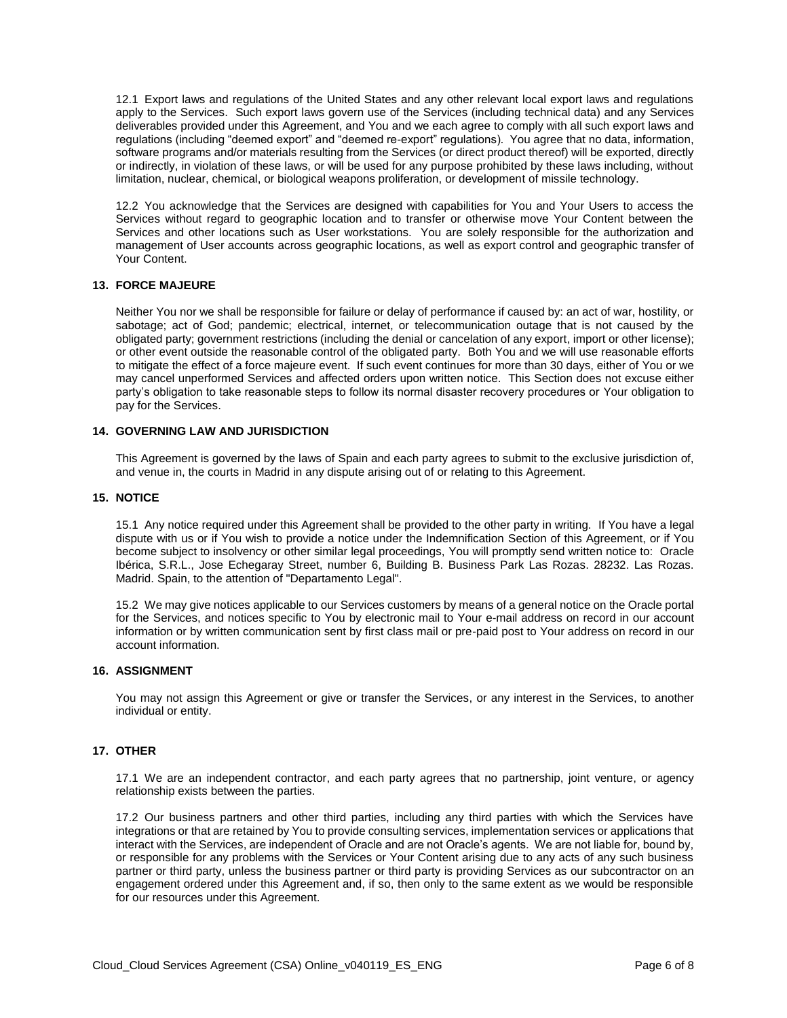12.1 Export laws and regulations of the United States and any other relevant local export laws and regulations apply to the Services. Such export laws govern use of the Services (including technical data) and any Services deliverables provided under this Agreement, and You and we each agree to comply with all such export laws and regulations (including "deemed export" and "deemed re-export" regulations). You agree that no data, information, software programs and/or materials resulting from the Services (or direct product thereof) will be exported, directly or indirectly, in violation of these laws, or will be used for any purpose prohibited by these laws including, without limitation, nuclear, chemical, or biological weapons proliferation, or development of missile technology.

12.2 You acknowledge that the Services are designed with capabilities for You and Your Users to access the Services without regard to geographic location and to transfer or otherwise move Your Content between the Services and other locations such as User workstations. You are solely responsible for the authorization and management of User accounts across geographic locations, as well as export control and geographic transfer of Your Content.

#### **13. FORCE MAJEURE**

Neither You nor we shall be responsible for failure or delay of performance if caused by: an act of war, hostility, or sabotage; act of God; pandemic; electrical, internet, or telecommunication outage that is not caused by the obligated party; government restrictions (including the denial or cancelation of any export, import or other license); or other event outside the reasonable control of the obligated party. Both You and we will use reasonable efforts to mitigate the effect of a force majeure event. If such event continues for more than 30 days, either of You or we may cancel unperformed Services and affected orders upon written notice. This Section does not excuse either party's obligation to take reasonable steps to follow its normal disaster recovery procedures or Your obligation to pay for the Services.

#### **14. GOVERNING LAW AND JURISDICTION**

This Agreement is governed by the laws of Spain and each party agrees to submit to the exclusive jurisdiction of, and venue in, the courts in Madrid in any dispute arising out of or relating to this Agreement.

#### **15. NOTICE**

15.1 Any notice required under this Agreement shall be provided to the other party in writing. If You have a legal dispute with us or if You wish to provide a notice under the Indemnification Section of this Agreement, or if You become subject to insolvency or other similar legal proceedings, You will promptly send written notice to: Oracle Ibérica, S.R.L., Jose Echegaray Street, number 6, Building B. Business Park Las Rozas. 28232. Las Rozas. Madrid. Spain, to the attention of "Departamento Legal".

15.2 We may give notices applicable to our Services customers by means of a general notice on the Oracle portal for the Services, and notices specific to You by electronic mail to Your e-mail address on record in our account information or by written communication sent by first class mail or pre-paid post to Your address on record in our account information.

#### **16. ASSIGNMENT**

You may not assign this Agreement or give or transfer the Services, or any interest in the Services, to another individual or entity.

#### **17. OTHER**

17.1 We are an independent contractor, and each party agrees that no partnership, joint venture, or agency relationship exists between the parties.

17.2 Our business partners and other third parties, including any third parties with which the Services have integrations or that are retained by You to provide consulting services, implementation services or applications that interact with the Services, are independent of Oracle and are not Oracle's agents. We are not liable for, bound by, or responsible for any problems with the Services or Your Content arising due to any acts of any such business partner or third party, unless the business partner or third party is providing Services as our subcontractor on an engagement ordered under this Agreement and, if so, then only to the same extent as we would be responsible for our resources under this Agreement.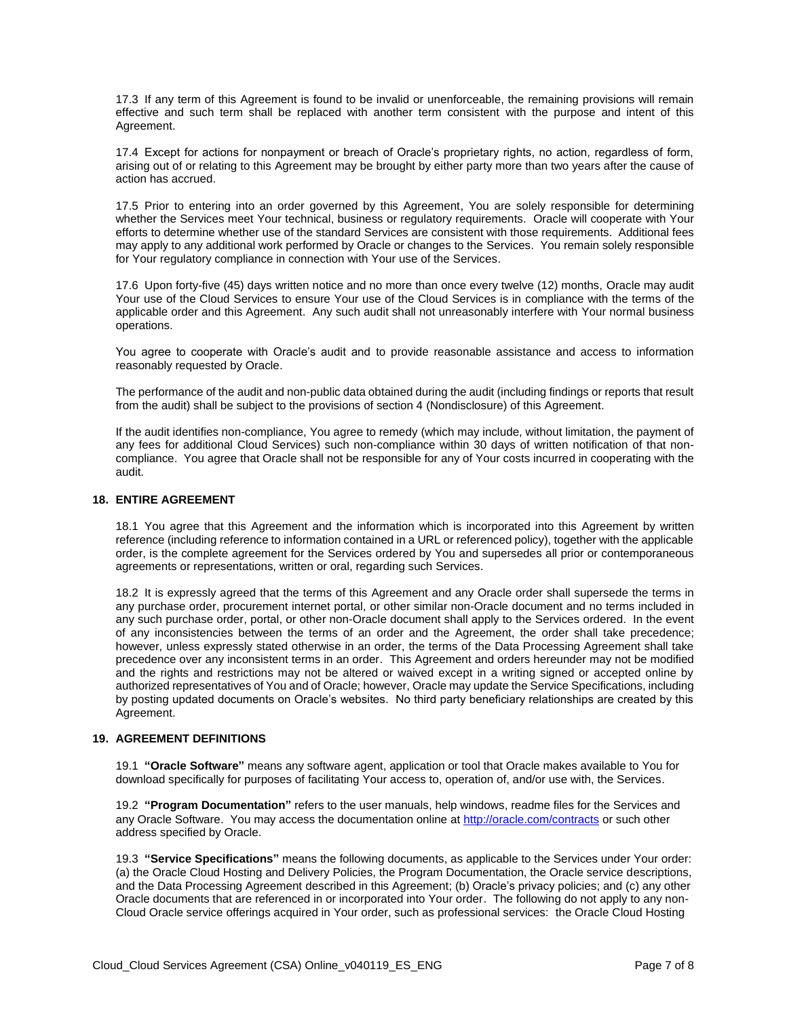17.3 If any term of this Agreement is found to be invalid or unenforceable, the remaining provisions will remain effective and such term shall be replaced with another term consistent with the purpose and intent of this Agreement.

17.4 Except for actions for nonpayment or breach of Oracle's proprietary rights, no action, regardless of form, arising out of or relating to this Agreement may be brought by either party more than two years after the cause of action has accrued.

17.5 Prior to entering into an order governed by this Agreement, You are solely responsible for determining whether the Services meet Your technical, business or regulatory requirements. Oracle will cooperate with Your efforts to determine whether use of the standard Services are consistent with those requirements. Additional fees may apply to any additional work performed by Oracle or changes to the Services. You remain solely responsible for Your regulatory compliance in connection with Your use of the Services.

17.6 Upon forty-five (45) days written notice and no more than once every twelve (12) months, Oracle may audit Your use of the Cloud Services to ensure Your use of the Cloud Services is in compliance with the terms of the applicable order and this Agreement. Any such audit shall not unreasonably interfere with Your normal business operations.

You agree to cooperate with Oracle's audit and to provide reasonable assistance and access to information reasonably requested by Oracle.

The performance of the audit and non-public data obtained during the audit (including findings or reports that result from the audit) shall be subject to the provisions of section 4 (Nondisclosure) of this Agreement.

If the audit identifies non-compliance, You agree to remedy (which may include, without limitation, the payment of any fees for additional Cloud Services) such non-compliance within 30 days of written notification of that noncompliance. You agree that Oracle shall not be responsible for any of Your costs incurred in cooperating with the audit.

#### **18. ENTIRE AGREEMENT**

18.1 You agree that this Agreement and the information which is incorporated into this Agreement by written reference (including reference to information contained in a URL or referenced policy), together with the applicable order, is the complete agreement for the Services ordered by You and supersedes all prior or contemporaneous agreements or representations, written or oral, regarding such Services.

18.2 It is expressly agreed that the terms of this Agreement and any Oracle order shall supersede the terms in any purchase order, procurement internet portal, or other similar non-Oracle document and no terms included in any such purchase order, portal, or other non-Oracle document shall apply to the Services ordered. In the event of any inconsistencies between the terms of an order and the Agreement, the order shall take precedence; however, unless expressly stated otherwise in an order, the terms of the Data Processing Agreement shall take precedence over any inconsistent terms in an order. This Agreement and orders hereunder may not be modified and the rights and restrictions may not be altered or waived except in a writing signed or accepted online by authorized representatives of You and of Oracle; however, Oracle may update the Service Specifications, including by posting updated documents on Oracle's websites. No third party beneficiary relationships are created by this Agreement.

#### **19. AGREEMENT DEFINITIONS**

19.1 **"Oracle Software"** means any software agent, application or tool that Oracle makes available to You for download specifically for purposes of facilitating Your access to, operation of, and/or use with, the Services.

19.2 **"Program Documentation"** refers to the user manuals, help windows, readme files for the Services and any Oracle Software. You may access the documentation online a[t http://oracle.com/contracts](http://oracle.com/contracts) or such other address specified by Oracle.

19.3 **"Service Specifications"** means the following documents, as applicable to the Services under Your order: (a) the Oracle Cloud Hosting and Delivery Policies, the Program Documentation, the Oracle service descriptions, and the Data Processing Agreement described in this Agreement; (b) Oracle's privacy policies; and (c) any other Oracle documents that are referenced in or incorporated into Your order. The following do not apply to any non-Cloud Oracle service offerings acquired in Your order, such as professional services: the Oracle Cloud Hosting